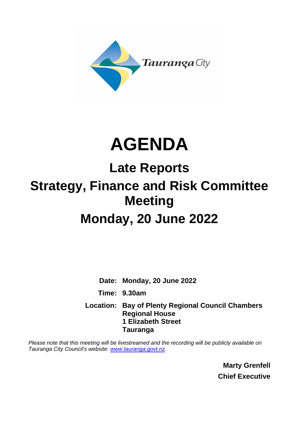

# **AGENDA**

# **Late Reports Strategy, Finance and Risk Committee Meeting Monday, 20 June 2022**

**Date: Monday, 20 June 2022 Time: 9.30am Location: Bay of Plenty Regional Council Chambers Regional House**

**1 Elizabeth Street Tauranga**

*Please note that this meeting will be livestreamed and the recording will be publicly available on Tauranga City Council's website: [www.tauranga.govt.nz.](http://www.tauranga.govt.nz/)*

> **Marty Grenfell Chief Executive**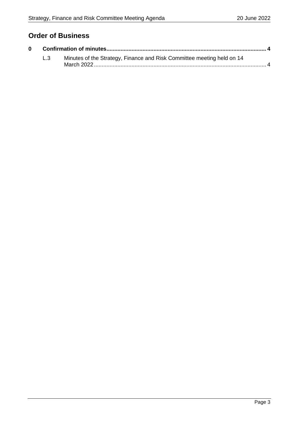## **Order of Business**

| L.3 | Minutes of the Strategy, Finance and Risk Committee meeting held on 14 |  |
|-----|------------------------------------------------------------------------|--|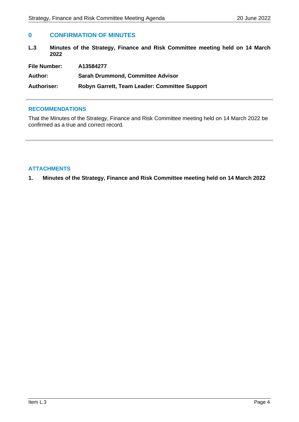### <span id="page-3-0"></span>**0 CONFIRMATION OF MINUTES**

<span id="page-3-1"></span>**L.3 Minutes of the Strategy, Finance and Risk Committee meeting held on 14 March 2022**

| <b>File Number:</b> | A13584277                                     |
|---------------------|-----------------------------------------------|
| Author:             | <b>Sarah Drummond, Committee Advisor</b>      |
| <b>Authoriser:</b>  | Robyn Garrett, Team Leader: Committee Support |

#### **RECOMMENDATIONS**

That the Minutes of the Strategy, Finance and Risk Committee meeting held on 14 March 2022 be confirmed as a true and correct record.

#### **ATTACHMENTS**

**1. Minutes of the Strategy, Finance and Risk Committee meeting held on 14 March 2022**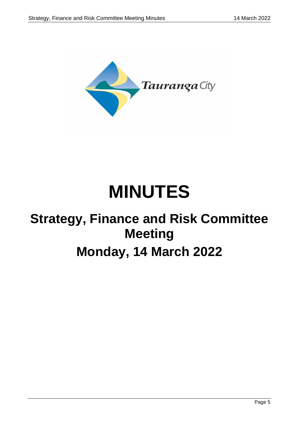

# **MINUTES**

# **Strategy, Finance and Risk Committee Meeting Monday, 14 March 2022**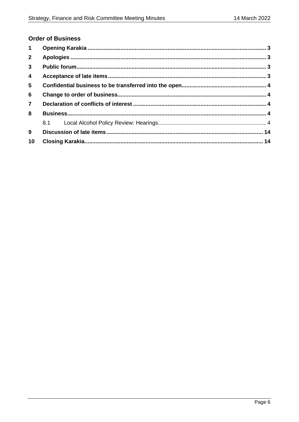## **Order of Business**

| $\mathbf 1$     |  |  |  |
|-----------------|--|--|--|
| $\mathbf{2}$    |  |  |  |
| $\mathbf{3}$    |  |  |  |
| $\overline{4}$  |  |  |  |
| $5\phantom{.0}$ |  |  |  |
| 6               |  |  |  |
| $\overline{7}$  |  |  |  |
| 8               |  |  |  |
|                 |  |  |  |
| 9               |  |  |  |
| 10              |  |  |  |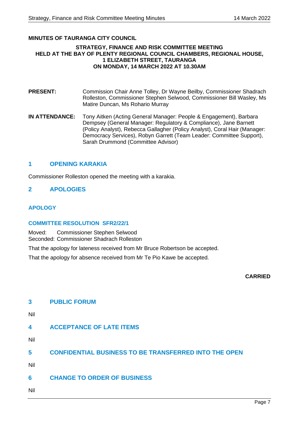#### **MINUTES OF TAURANGA CITY COUNCIL**

#### **STRATEGY, FINANCE AND RISK COMMITTEE MEETING HELD AT THE BAY OF PLENTY REGIONAL COUNCIL CHAMBERS, REGIONAL HOUSE, 1 ELIZABETH STREET, TAURANGA ON MONDAY, 14 MARCH 2022 AT 10.30AM**

- **PRESENT:** Commission Chair Anne Tolley, Dr Wayne Beilby, Commissioner Shadrach Rolleston, Commissioner Stephen Selwood, Commissioner Bill Wasley, Ms Matire Duncan, Ms Rohario Murray
- **IN ATTENDANCE:** Tony Aitken (Acting General Manager: People & Engagement), Barbara Dempsey (General Manager: Regulatory & Compliance), Jane Barnett (Policy Analyst), Rebecca Gallagher (Policy Analyst), Coral Hair (Manager: Democracy Services), Robyn Garrett (Team Leader: Committee Support), Sarah Drummond (Committee Advisor)

#### **1 OPENING KARAKIA**

Commissioner Rolleston opened the meeting with a karakia.

#### **2 APOLOGIES**

#### **APOLOGY**

#### **COMMITTEE RESOLUTION SFR2/22/1**

Moved: Commissioner Stephen Selwood Seconded: Commissioner Shadrach Rolleston

That the apology for lateness received from Mr Bruce Robertson be accepted.

That the apology for absence received from Mr Te Pio Kawe be accepted.

#### **CARRIED**

# **3 PUBLIC FORUM**  Nil **4 ACCEPTANCE OF LATE ITEMS**  Nil **5 CONFIDENTIAL BUSINESS TO BE TRANSFERRED INTO THE OPEN** Nil **6 CHANGE TO ORDER OF BUSINESS** Nil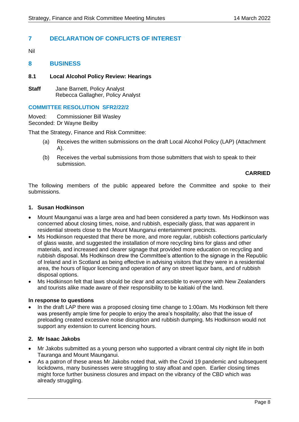## **7 DECLARATION OF CONFLICTS OF INTEREST**

Nil

#### **8 BUSINESS**

#### **8.1 Local Alcohol Policy Review: Hearings**

**Staff** Jane Barnett, Policy Analyst Rebecca Gallagher, Policy Analyst

#### **COMMITTEE RESOLUTION SFR2/22/2**

Moved: Commissioner Bill Wasley Seconded: Dr Wayne Beilby

That the Strategy, Finance and Risk Committee:

- (a) Receives the written submissions on the draft Local Alcohol Policy (LAP) (Attachment A).
- (b) Receives the verbal submissions from those submitters that wish to speak to their submission.

#### **CARRIED**

The following members of the public appeared before the Committee and spoke to their submissions.

#### **1. Susan Hodkinson**

- Mount Maunganui was a large area and had been considered a party town. Ms Hodkinson was concerned about closing times, noise, and rubbish, especially glass, that was apparent in residential streets close to the Mount Maunganui entertainment precincts.
- Ms Hodkinson requested that there be more, and more regular, rubbish collections particularly of glass waste, and suggested the installation of more recycling bins for glass and other materials, and increased and clearer signage that provided more education on recycling and rubbish disposal. Ms Hodkinson drew the Committee's attention to the signage in the Republic of Ireland and in Scotland as being effective in advising visitors that they were in a residential area, the hours of liquor licencing and operation of any on street liquor bans, and of rubbish disposal options.
- Ms Hodkinson felt that laws should be clear and accessible to everyone with New Zealanders and tourists alike made aware of their responsibility to be kaitiaki of the land.

#### **In response to questions**

• In the draft LAP there was a proposed closing time change to 1:00am. Ms Hodkinson felt there was presently ample time for people to enjoy the area's hospitality; also that the issue of preloading created excessive noise disruption and rubbish dumping. Ms Hodkinson would not support any extension to current licencing hours.

#### **2. Mr Isaac Jakobs**

- Mr Jakobs submitted as a young person who supported a vibrant central city night life in both Tauranga and Mount Maunganui.
- As a patron of these areas Mr Jakobs noted that, with the Covid 19 pandemic and subsequent lockdowns, many businesses were struggling to stay afloat and open. Earlier closing times might force further business closures and impact on the vibrancy of the CBD which was already struggling.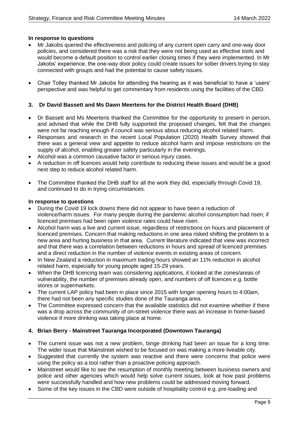#### **In response to questions**

- Mr Jakobs queried the effectiveness and policing of any current open carry and one-way door policies, and considered there was a risk that they were not being used as effective tools and would become a default position to control earlier closing times if they were implemented. In Mr Jakobs' experience, the one-way door policy could create issues for sober drivers trying to stay connected with groups and had the potential to cause safety issues.
- Chair Tolley thanked Mr Jakobs for attending the hearing as it was beneficial to have a 'users' perspective and was helpful to get commentary from residents using the facilities of the CBD.

#### **3. Dr David Bassett and Ms Dawn Meertens for the District Health Board (DHB)**

- Dr Bassett and Ms Meertens thanked the Committee for the opportunity to present in person, and advised that while the DHB fully supported the proposed changes, felt that the changes were not far reaching enough if council was serious about reducing alcohol related harm.
- Responses and research in the recent Local Population (2020) Health Survey showed that there was a general view and appetite to reduce alcohol harm and impose restrictions on the supply of alcohol, enabling greater safety particularly in the evenings.
- Alcohol was a common causative factor in serious injury cases.
- A reduction in off licences would help contribute to reducing these issues and would be a good next step to reduce alcohol related harm.
- The Committee thanked the DHB staff for all the work they did, especially through Covid 19, and continued to do in trying circumstances.

#### **In response to questions**

- During the Covid 19 lock downs there did not appear to have been a reduction of violence/harm issues. For many people during the pandemic alcohol consumption had risen; if licenced premises had been open violence rates could have risen.
- Alcohol harm was a live and current issue, regardless of restrictions on hours and placement of licenced premises. Concern that making reductions in one area risked shifting the problem to a new area and hurting business in that area. Current literature indicated that view was incorrect and that there was a correlation between reductions in hours and spread of licenced premises and a direct reduction in the number of violence events in existing areas of concern.
- In New Zealand a reduction in maximum trading hours showed an 11% reduction in alcohol related harm, especially for young people aged 15-29 years.
- When the DHB licencing team was considering applications, it looked at the zones/areas of vulnerability, the number of premises already open, and numbers of off licences e.g. bottle stores or supermarkets.
- The current LAP policy had been in place since 2015 with longer opening hours to 4:00am, there had not been any specific studies done of the Tauranga area.
- The Committee expressed concern that the available statistics did not examine whether if there was a drop across the community of on-street violence there was an increase in home-based violence if more drinking was taking place at home.

#### **4. Brian Berry - Mainstreet Tauranga Incorporated (Downtown Tauranga)**

- The current issue was not a new problem, binge drinking had been an issue for a long time. The wider issue that Mainstreet wished to be focused on was making a more liveable city.
- Suggested that currently the system was reactive and there were concerns that police were using the policy as a tool rather than a proactive policing approach.
- Mainstreet would like to see the resumption of monthly meeting between business owners and police and other agencies which would help solve current issues, look at how past problems were successfully handled and how new problems could be addressed moving forward.
- Some of the key issues in the CBD were outside of hospitality control e.g. pre-loading and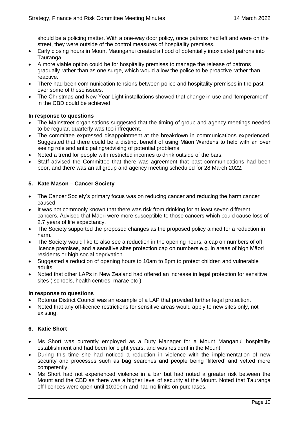should be a policing matter. With a one-way door policy, once patrons had left and were on the street, they were outside of the control measures of hospitality premises.

- Early closing hours in Mount Maunganui created a flood of potentially intoxicated patrons into Tauranga.
- A more viable option could be for hospitality premises to manage the release of patrons gradually rather than as one surge, which would allow the police to be proactive rather than reactive.
- There had been communication tensions between police and hospitality premises in the past over some of these issues.
- The Christmas and New Year Light installations showed that change in use and 'temperament' in the CBD could be achieved.

#### **In response to questions**

- The Mainstreet organisations suggested that the timing of group and agency meetings needed to be regular, quarterly was too infrequent.
- The committee expressed disappointment at the breakdown in communications experienced. Suggested that there could be a distinct benefit of using Maori Wardens to help with an over seeing role and anticipating/advising of potential problems.
- Noted a trend for people with restricted incomes to drink outside of the bars.
- Staff advised the Committee that there was agreement that past communications had been poor, and there was an all group and agency meeting scheduled for 28 March 2022.

#### **5. Kate Mason – Cancer Society**

- The Cancer Society's primary focus was on reducing cancer and reducing the harm cancer caused.
- It was not commonly known that there was risk from drinking for at least seven different cancers. Advised that Māori were more susceptible to those cancers which could cause loss of 2.7 years of life expectancy.
- The Society supported the proposed changes as the proposed policy aimed for a reduction in harm.
- The Society would like to also see a reduction in the opening hours, a cap on numbers of off licence premises, and a sensitive sites protection cap on numbers e.g. in areas of high Māori residents or high social deprivation.
- Suggested a reduction of opening hours to 10am to 8pm to protect children and vulnerable adults.
- Noted that other LAPs in New Zealand had offered an increase in legal protection for sensitive sites ( schools, health centres, marae etc ).

#### **In response to questions**

- Rotorua District Council was an example of a LAP that provided further legal protection.
- Noted that any off-licence restrictions for sensitive areas would apply to new sites only, not existing.

#### **6. Katie Short**

- Ms Short was currently employed as a Duty Manager for a Mount Manganui hospitality establishment and had been for eight years, and was resident in the Mount.
- During this time she had noticed a reduction in violence with the implementation of new security and processes such as bag searches and people being 'filtered' and vetted more competently.
- Ms Short had not experienced violence in a bar but had noted a greater risk between the Mount and the CBD as there was a higher level of security at the Mount. Noted that Tauranga off licences were open until 10:00pm and had no limits on purchases.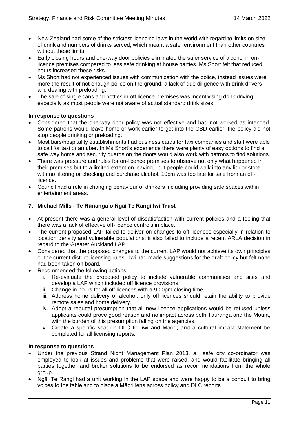- New Zealand had some of the strictest licencing laws in the world with regard to limits on size of drink and numbers of drinks served, which meant a safer environment than other countries without these limits.
- Early closing hours and one-way door policies eliminated the safer service of alcohol in onlicence premises compared to less safe drinking at house parties. Ms Short felt that reduced hours increased these risks.
- Ms Short had not experienced issues with communication with the police, instead issues were more the result of not enough police on the ground, a lack of due diligence with drink drivers and dealing with preloading.
- The sale of single cans and bottles in off licence premises was incentivising drink driving especially as most people were not aware of actual standard drink sizes.

#### **In response to questions**

- Considered that the one-way door policy was not effective and had not worked as intended. Some patrons would leave home or work earlier to get into the CBD earlier; the policy did not stop people drinking or preloading.
- Most bars/hospitality establishments had business cards for taxi companies and staff were able to call for taxi or an uber. In Ms Short's experience there were plenty of easy options to find a safe way home and security guards on the doors would also work with patrons to find solutions.
- There was pressure and rules for on-licence premises to observe not only what happened in their premises but to a limited extent on leaving, but people could walk into any liquor store with no filtering or checking and purchase alcohol. 10pm was too late for sale from an offlicence.
- Council had a role in changing behaviour of drinkers including providing safe spaces within entertainment areas.

#### **7. Michael Mills - Te Rūnanga o Ngāi Te Rangi Iwi Trust**

- At present there was a general level of dissatisfaction with current policies and a feeling that there was a lack of effective off-licence controls in place.
- The current proposed LAP failed to deliver on changes to off-licences especially in relation to location density and vulnerable populations; it also failed to include a recent ARLA decision in regard to the Greater Auckland LAP.
- Considered that the proposed changes to the current LAP would not achieve its own principles or the current district licensing rules. Iwi had made suggestions for the draft policy but felt none had been taken on board.
- Recommended the following actions:
	- i. Re-evaluate the proposed policy to include vulnerable communities and sites and develop a LAP which included off licence provisions.
	- ii. Change in hours for all off licences with a 9:00pm closing time.
	- iii. Address home delivery of alcohol; only off licences should retain the ability to provide remote sales and home delivery.
	- iv. Adopt a rebuttal presumption that all new licence applications would be refused unless applicants could prove good reason and no impact across both Tauranga and the Mount, with the burden of this presumption falling on the agencies.
	- v. Create a specific seat on DLC for iwi and Māori; and a cultural impact statement be completed for all licensing reports.

#### **In response to questions**

- Under the previous Strand Night Management Plan 2013, a safe city co-ordinator was employed to look at issues and problems that were raised, and would facilitate bringing all parties together and broker solutions to be endorsed as recommendations from the whole group.
- Ngāi Te Rangi had a unit working in the LAP space and were happy to be a conduit to bring voices to the table and to place a Māori lens across policy and DLC reports.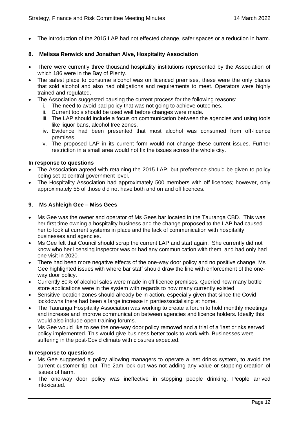• The introduction of the 2015 LAP had not effected change, safer spaces or a reduction in harm.

#### **8. Melissa Renwick and Jonathan Alve, Hospitality Association**

- There were currently three thousand hospitality institutions represented by the Association of which 186 were in the Bay of Plenty.
- The safest place to consume alcohol was on licenced premises, these were the only places that sold alcohol and also had obligations and requirements to meet. Operators were highly trained and regulated.
- The Association suggested pausing the current process for the following reasons:
	- i. The need to avoid bad policy that was not going to achieve outcomes.
	- ii. Current tools should be used well before changes were made.
	- iii. The LAP should include a focus on communication between the agencies and using tools like liquor bans, alcohol free zones.
	- iv. Evidence had been presented that most alcohol was consumed from off-licence premises.
	- v. The proposed LAP in its current form would not change these current issues. Further restriction in a small area would not fix the issues across the whole city.

#### **In response to questions**

- The Association agreed with retaining the 2015 LAP, but preference should be given to policy being set at central government level.
- The Hospitality Association had approximately 500 members with off licences; however, only approximately 55 of those did not have both and on and off licences.

#### **9. Ms Ashleigh Gee – Miss Gees**

- Ms Gee was the owner and operator of Ms Gees bar located in the Tauranga CBD. This was her first time owning a hospitality business and the change proposed to the LAP had caused her to look at current systems in place and the lack of communication with hospitality businesses and agencies.
- Ms Gee felt that Council should scrap the current LAP and start again. She currently did not know who her licensing inspector was or had any communication with them, and had only had one visit in 2020.
- There had been more negative effects of the one-way door policy and no positive change. Ms Gee highlighted issues with where bar staff should draw the line with enforcement of the oneway door policy.
- Currently 80% of alcohol sales were made in off licence premises. Queried how many bottle store applications were in the system with regards to how many currently existed.
- Sensitive location zones should already be in action, especially given that since the Covid lockdowns there had been a large increase in parties/socialising at home.
- The Tauranga Hospitality Association was working to create a forum to hold monthly meetings and increase and improve communication between agencies and licence holders. Ideally this would also include open training forums.
- Ms Gee would like to see the one-way door policy removed and a trial of a 'last drinks served' policy implemented. This would give business better tools to work with. Businesses were suffering in the post-Covid climate with closures expected.

#### **In response to questions**

- Ms Gee suggested a policy allowing managers to operate a last drinks system, to avoid the current customer tip out. The 2am lock out was not adding any value or stopping creation of issues of harm.
- The one-way door policy was ineffective in stopping people drinking. People arrived intoxicated.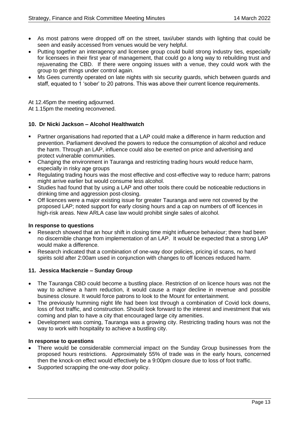- As most patrons were dropped off on the street, taxi/uber stands with lighting that could be seen and easily accessed from venues would be very helpful.
- Putting together an interagency and licensee group could build strong industry ties, especially for licensees in their first year of management, that could go a long way to rebuilding trust and rejuvenating the CBD. If there were ongoing issues with a venue, they could work with the group to get things under control again.
- Ms Gees currently operated on late nights with six security guards, which between guards and staff, equated to 1 'sober' to 20 patrons. This was above their current licence requirements.

At 12.45pm the meeting adjourned.

At 1.15pm the meeting reconvened.

#### **10. Dr Nicki Jackson – Alcohol Healthwatch**

- Partner organisations had reported that a LAP could make a difference in harm reduction and prevention. Parliament devolved the powers to reduce the consumption of alcohol and reduce the harm. Through an LAP, influence could also be exerted on price and advertising and protect vulnerable communities.
- Changing the environment in Tauranga and restricting trading hours would reduce harm, especially in risky age groups
- Regulating trading hours was the most effective and cost-effective way to reduce harm; patrons might arrive earlier but would consume less alcohol.
- Studies had found that by using a LAP and other tools there could be noticeable reductions in drinking time and aggression post-closing.
- Off licences were a major existing issue for greater Tauranga and were not covered by the proposed LAP; noted support for early closing hours and a cap on numbers of off licences in high-risk areas. New ARLA case law would prohibit single sales of alcohol.

#### **In response to questions**

- Research showed that an hour shift in closing time might influence behaviour; there had been no discernible change from implementation of an LAP. It would be expected that a strong LAP would make a difference.
- Research indicated that a combination of one-way door policies, pricing id scans, no hard spirits sold after 2:00am used in conjunction with changes to off licences reduced harm.

#### **11. Jessica Mackenzie – Sunday Group**

- The Tauranga CBD could become a bustling place. Restriction of on licence hours was not the way to achieve a harm reduction, it would cause a major decline in revenue and possible business closure. It would force patrons to look to the Mount for entertainment.
- The previously humming night life had been lost through a combination of Covid lock downs, loss of foot traffic, and construction. Should look forward to the interest and investment that wis coming and plan to have a city that encouraged large city amenities.
- Development was coming, Tauranga was a growing city. Restricting trading hours was not the way to work with hospitality to achieve a bustling city.

#### **In response to questions**

- There would be considerable commercial impact on the Sunday Group businesses from the proposed hours restrictions. Approximately 55% of trade was in the early hours, concerned then the knock-on effect would effectively be a 9:00pm closure due to loss of foot traffic.
- Supported scrapping the one-way door policy.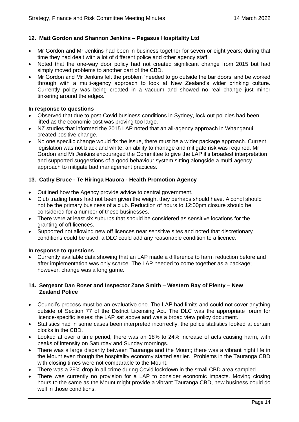#### **12. Matt Gordon and Shannon Jenkins – Pegasus Hospitality Ltd**

- Mr Gordon and Mr Jenkins had been in business together for seven or eight years; during that time they had dealt with a lot of different police and other agency staff.
- Noted that the one-way door policy had not created significant change from 2015 but had simply moved problems to another part of the CBD.
- Mr Gordon and Mr Jenkins felt the problem 'needed to go outside the bar doors' and be worked through with a multi-agency approach to look at New Zealand's wider drinking culture. Currently policy was being created in a vacuum and showed no real change just minor tinkering around the edges.

#### **In response to questions**

- Observed that due to post-Covid business conditions in Sydney, lock out policies had been lifted as the economic cost was proving too large.
- NZ studies that informed the 2015 LAP noted that an all-agency approach in Whanganui created positive change.
- No one specific change would fix the issue, there must be a wider package approach. Current legislation was not black and white, an ability to manage and mitigate risk was required. Mr Gordon and Mr Jenkins encouraged the Committee to give the LAP it's broadest interpretation and supported suggestions of a good behaviour system sitting alongside a multi-agency approach to mitigate bad management practices.

#### **13. Cathy Bruce - Te Hiringa Hauora - Health Promotion Agency**

- Outlined how the Agency provide advice to central government.
- Club trading hours had not been given the weight they perhaps should have. Alcohol should not be the primary business of a club. Reduction of hours to 12:00pm closure should be considered for a number of these businesses.
- There were at least six suburbs that should be considered as sensitive locations for the granting of off licences.
- Supported not allowing new off licences near sensitive sites and noted that discretionary conditions could be used, a DLC could add any reasonable condition to a licence.

#### **In response to questions**

• Currently available data showing that an LAP made a difference to harm reduction before and after implementation was only scarce. The LAP needed to come together as a package; however, change was a long game.

#### **14. Sergeant Dan Roser and Inspector Zane Smith – Western Bay of Plenty – New Zealand Police**

- Council's process must be an evaluative one. The LAP had limits and could not cover anything outside of Section 77 of the District Licensing Act. The DLC was the appropriate forum for licence-specific issues; the LAP sat above and was a broad view policy document.
- Statistics had in some cases been interpreted incorrectly, the police statistics looked at certain blocks in the CBD.
- Looked at over a time period, there was an 18% to 24% increase of acts causing harm, with peaks of intensity on Saturday and Sunday mornings.
- There was a large disparity between Tauranga and the Mount; there was a vibrant night life in the Mount even though the hospitality economy started earlier. Problems in the Tauranga CBD with closing times were not comparable to the Mount.
- There was a 29% drop in all crime during Covid lockdown in the small CBD area sampled.
- There was currently no provision for a LAP to consider economic impacts. Moving closing hours to the same as the Mount might provide a vibrant Tauranga CBD, new business could do well in those conditions.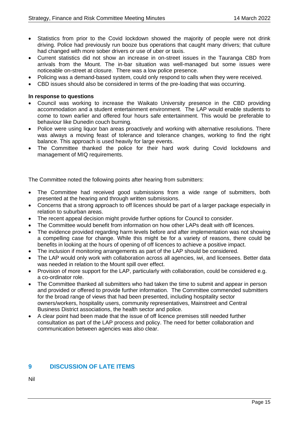- Statistics from prior to the Covid lockdown showed the majority of people were not drink driving. Police had previously run booze bus operations that caught many drivers; that culture had changed with more sober drivers or use of uber or taxis.
- Current statistics did not show an increase in on-street issues in the Tauranga CBD from arrivals from the Mount. The in-bar situation was well-managed but some issues were noticeable on-street at closure. There was a low police presence.
- Policing was a demand-based system, could only respond to calls when they were received.
- CBD issues should also be considered in terms of the pre-loading that was occurring.

#### **In response to questions**

- Council was working to increase the Waikato University presence in the CBD providing accommodation and a student entertainment environment. The LAP would enable students to come to town earlier and offered four hours safe entertainment. This would be preferable to behaviour like Dunedin couch burning.
- Police were using liquor ban areas proactively and working with alternative resolutions. There was always a moving feast of tolerance and tolerance changes, working to find the right balance. This approach is used heavily for large events.
- The Committee thanked the police for their hard work during Covid lockdowns and management of MIQ requirements.

The Committee noted the following points after hearing from submitters:

- The Committee had received good submissions from a wide range of submitters, both presented at the hearing and through written submissions.
- Concerns that a strong approach to off licences should be part of a larger package especially in relation to suburban areas.
- The recent appeal decision might provide further options for Council to consider.
- The Committee would benefit from information on how other LAPs dealt with off licences.
- The evidence provided regarding harm levels before and after implementation was not showing a compelling case for change. While this might be for a variety of reasons, there could be benefits in looking at the hours of opening of off licences to achieve a positive impact.
- The inclusion if monitoring arrangements as part of the LAP should be considered.
- The LAP would only work with collaboration across all agencies, iwi, and licensees. Better data was needed in relation to the Mount spill over effect.
- Provision of more support for the LAP, particularly with collaboration, could be considered e.g. a co-ordinator role.
- The Committee thanked all submitters who had taken the time to submit and appear in person and provided or offered to provide further information. The Committee commended submitters for the broad range of views that had been presented, including hospitality sector owners/workers, hospitality users, community representatives, Mainstreet and Central Business District associations, the health sector and police.
- A clear point had been made that the issue of off licence premises still needed further consultation as part of the LAP process and policy. The need for better collaboration and communication between agencies was also clear.

### **9 DISCUSSION OF LATE ITEMS**

Nil